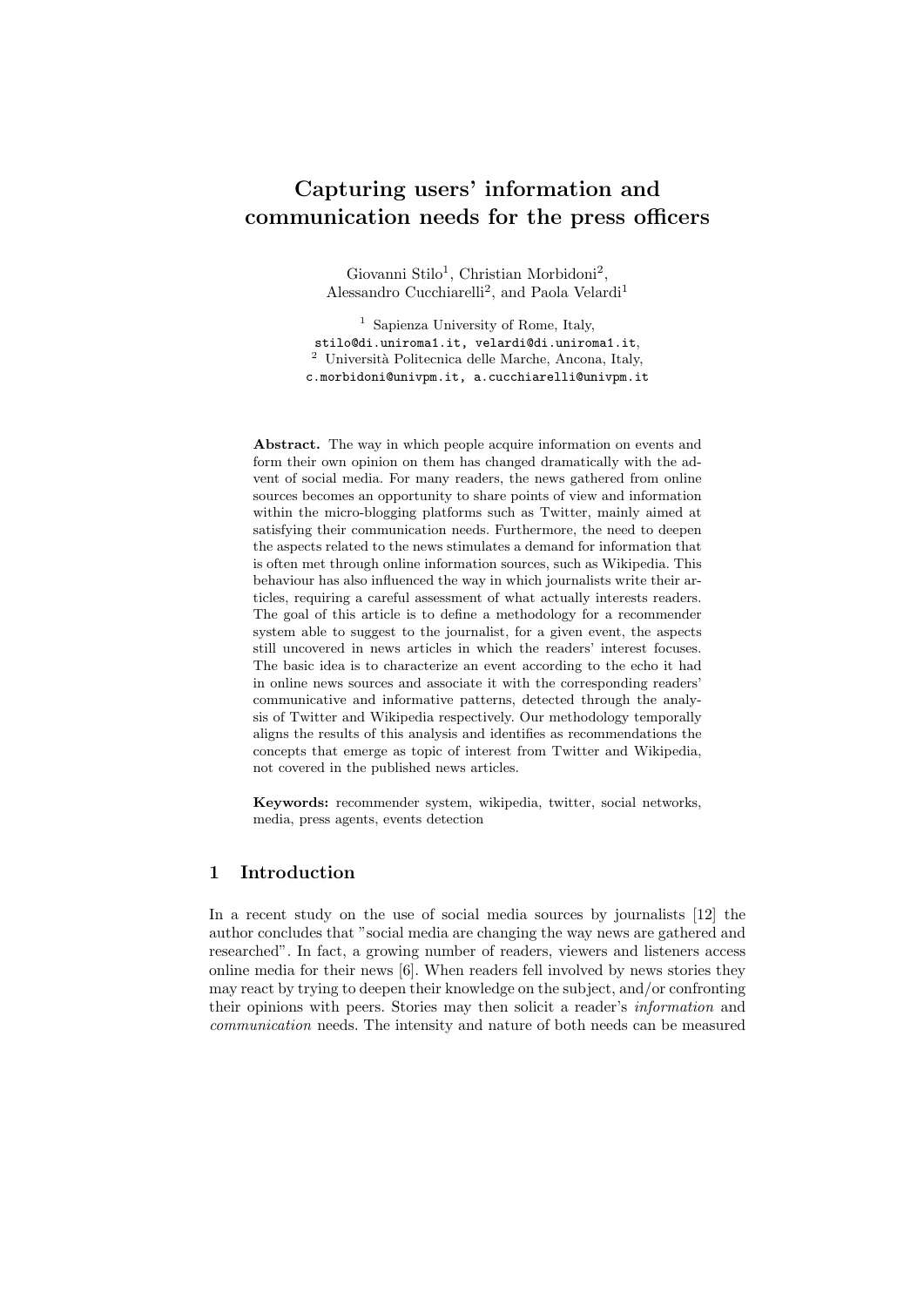# Capturing users' information and communication needs for the press officers

Giovanni Stilo<sup>1</sup>, Christian Morbidoni<sup>2</sup>, Alessandro Cucchiarelli<sup>2</sup>, and Paola Velardi<sup>1</sup>

<sup>1</sup> Sapienza University of Rome, Italy, stilo@di.uniroma1.it, velardi@di.uniroma1.it,  $2$  Università Politecnica delle Marche, Ancona, Italy, c.morbidoni@univpm.it, a.cucchiarelli@univpm.it

Abstract. The way in which people acquire information on events and form their own opinion on them has changed dramatically with the advent of social media. For many readers, the news gathered from online sources becomes an opportunity to share points of view and information within the micro-blogging platforms such as Twitter, mainly aimed at satisfying their communication needs. Furthermore, the need to deepen the aspects related to the news stimulates a demand for information that is often met through online information sources, such as Wikipedia. This behaviour has also influenced the way in which journalists write their articles, requiring a careful assessment of what actually interests readers. The goal of this article is to define a methodology for a recommender system able to suggest to the journalist, for a given event, the aspects still uncovered in news articles in which the readers' interest focuses. The basic idea is to characterize an event according to the echo it had in online news sources and associate it with the corresponding readers' communicative and informative patterns, detected through the analysis of Twitter and Wikipedia respectively. Our methodology temporally aligns the results of this analysis and identifies as recommendations the concepts that emerge as topic of interest from Twitter and Wikipedia, not covered in the published news articles.

Keywords: recommender system, wikipedia, twitter, social networks, media, press agents, events detection

## 1 Introduction

In a recent study on the use of social media sources by journalists [12] the author concludes that "social media are changing the way news are gathered and researched". In fact, a growing number of readers, viewers and listeners access online media for their news [6]. When readers fell involved by news stories they may react by trying to deepen their knowledge on the subject, and/or confronting their opinions with peers. Stories may then solicit a reader's information and communication needs. The intensity and nature of both needs can be measured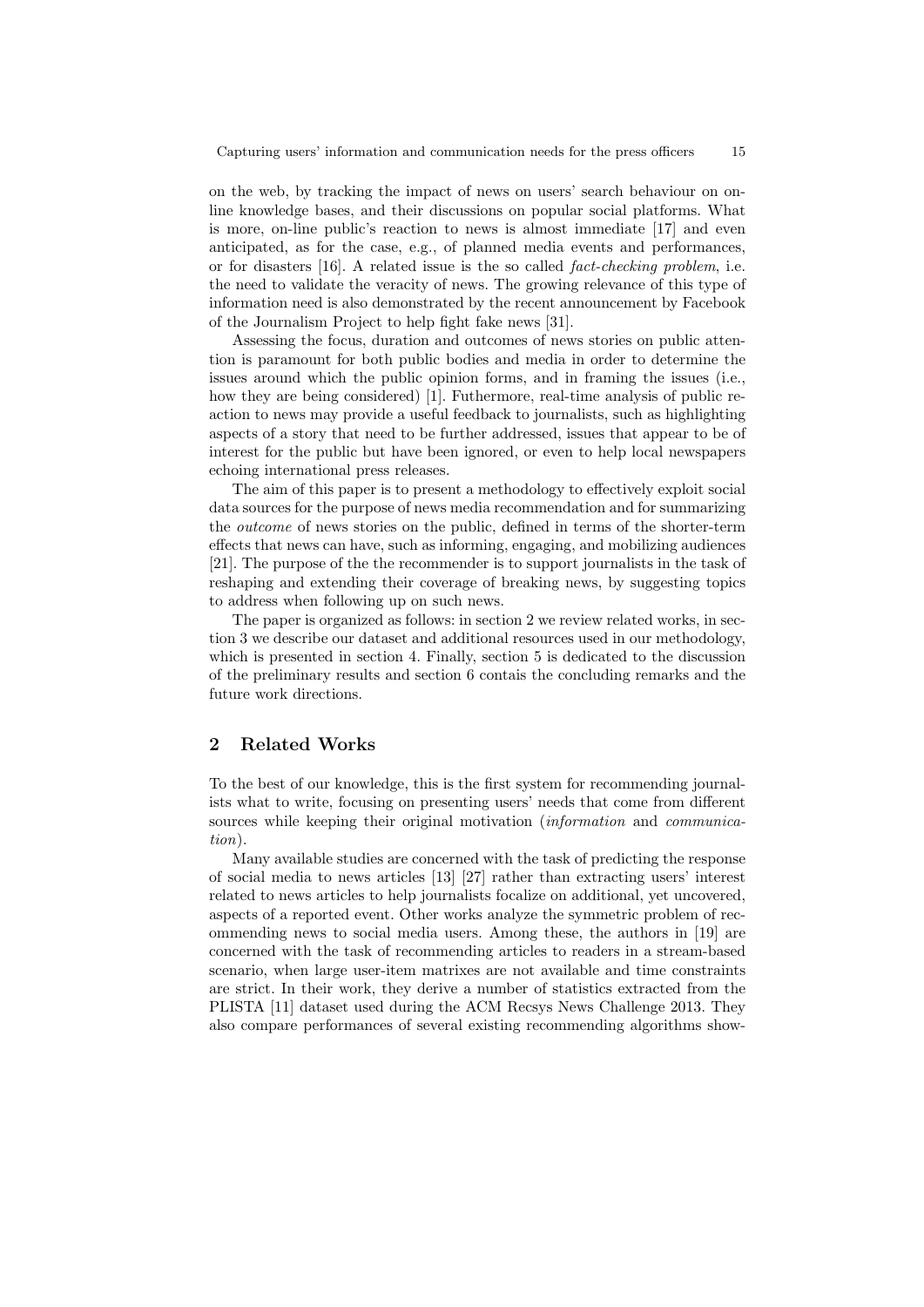on the web, by tracking the impact of news on users' search behaviour on online knowledge bases, and their discussions on popular social platforms. What is more, on-line public's reaction to news is almost immediate [17] and even anticipated, as for the case, e.g., of planned media events and performances, or for disasters [16]. A related issue is the so called fact-checking problem, i.e. the need to validate the veracity of news. The growing relevance of this type of information need is also demonstrated by the recent announcement by Facebook of the Journalism Project to help fight fake news [31].

Assessing the focus, duration and outcomes of news stories on public attention is paramount for both public bodies and media in order to determine the issues around which the public opinion forms, and in framing the issues (i.e., how they are being considered) [1]. Futhermore, real-time analysis of public reaction to news may provide a useful feedback to journalists, such as highlighting aspects of a story that need to be further addressed, issues that appear to be of interest for the public but have been ignored, or even to help local newspapers echoing international press releases.

The aim of this paper is to present a methodology to effectively exploit social data sources for the purpose of news media recommendation and for summarizing the outcome of news stories on the public, defined in terms of the shorter-term effects that news can have, such as informing, engaging, and mobilizing audiences [21]. The purpose of the the recommender is to support journalists in the task of reshaping and extending their coverage of breaking news, by suggesting topics to address when following up on such news.

The paper is organized as follows: in section 2 we review related works, in section 3 we describe our dataset and additional resources used in our methodology, which is presented in section 4. Finally, section 5 is dedicated to the discussion of the preliminary results and section 6 contais the concluding remarks and the future work directions.

## 2 Related Works

To the best of our knowledge, this is the first system for recommending journalists what to write, focusing on presenting users' needs that come from different sources while keeping their original motivation (*information* and *communica*tion).

Many available studies are concerned with the task of predicting the response of social media to news articles [13] [27] rather than extracting users' interest related to news articles to help journalists focalize on additional, yet uncovered, aspects of a reported event. Other works analyze the symmetric problem of recommending news to social media users. Among these, the authors in [19] are concerned with the task of recommending articles to readers in a stream-based scenario, when large user-item matrixes are not available and time constraints are strict. In their work, they derive a number of statistics extracted from the PLISTA [11] dataset used during the ACM Recsys News Challenge 2013. They also compare performances of several existing recommending algorithms show-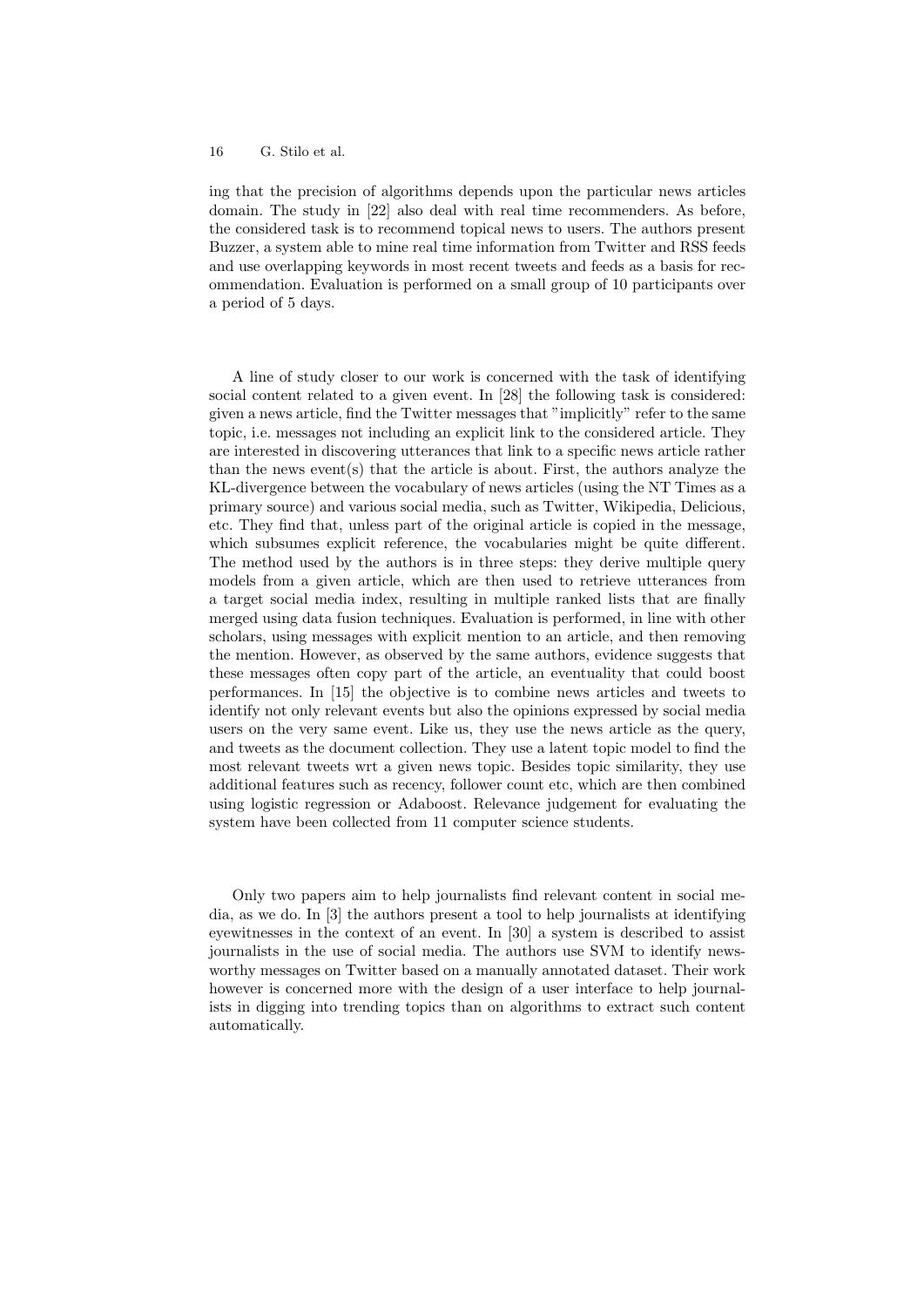ing that the precision of algorithms depends upon the particular news articles domain. The study in [22] also deal with real time recommenders. As before, the considered task is to recommend topical news to users. The authors present Buzzer, a system able to mine real time information from Twitter and RSS feeds and use overlapping keywords in most recent tweets and feeds as a basis for recommendation. Evaluation is performed on a small group of 10 participants over a period of 5 days.

A line of study closer to our work is concerned with the task of identifying social content related to a given event. In [28] the following task is considered: given a news article, find the Twitter messages that "implicitly" refer to the same topic, i.e. messages not including an explicit link to the considered article. They are interested in discovering utterances that link to a specific news article rather than the news event(s) that the article is about. First, the authors analyze the KL-divergence between the vocabulary of news articles (using the NT Times as a primary source) and various social media, such as Twitter, Wikipedia, Delicious, etc. They find that, unless part of the original article is copied in the message, which subsumes explicit reference, the vocabularies might be quite different. The method used by the authors is in three steps: they derive multiple query models from a given article, which are then used to retrieve utterances from a target social media index, resulting in multiple ranked lists that are finally merged using data fusion techniques. Evaluation is performed, in line with other scholars, using messages with explicit mention to an article, and then removing the mention. However, as observed by the same authors, evidence suggests that these messages often copy part of the article, an eventuality that could boost performances. In [15] the objective is to combine news articles and tweets to identify not only relevant events but also the opinions expressed by social media users on the very same event. Like us, they use the news article as the query, and tweets as the document collection. They use a latent topic model to find the most relevant tweets wrt a given news topic. Besides topic similarity, they use additional features such as recency, follower count etc, which are then combined using logistic regression or Adaboost. Relevance judgement for evaluating the system have been collected from 11 computer science students.

Only two papers aim to help journalists find relevant content in social media, as we do. In [3] the authors present a tool to help journalists at identifying eyewitnesses in the context of an event. In [30] a system is described to assist journalists in the use of social media. The authors use SVM to identify newsworthy messages on Twitter based on a manually annotated dataset. Their work however is concerned more with the design of a user interface to help journalists in digging into trending topics than on algorithms to extract such content automatically.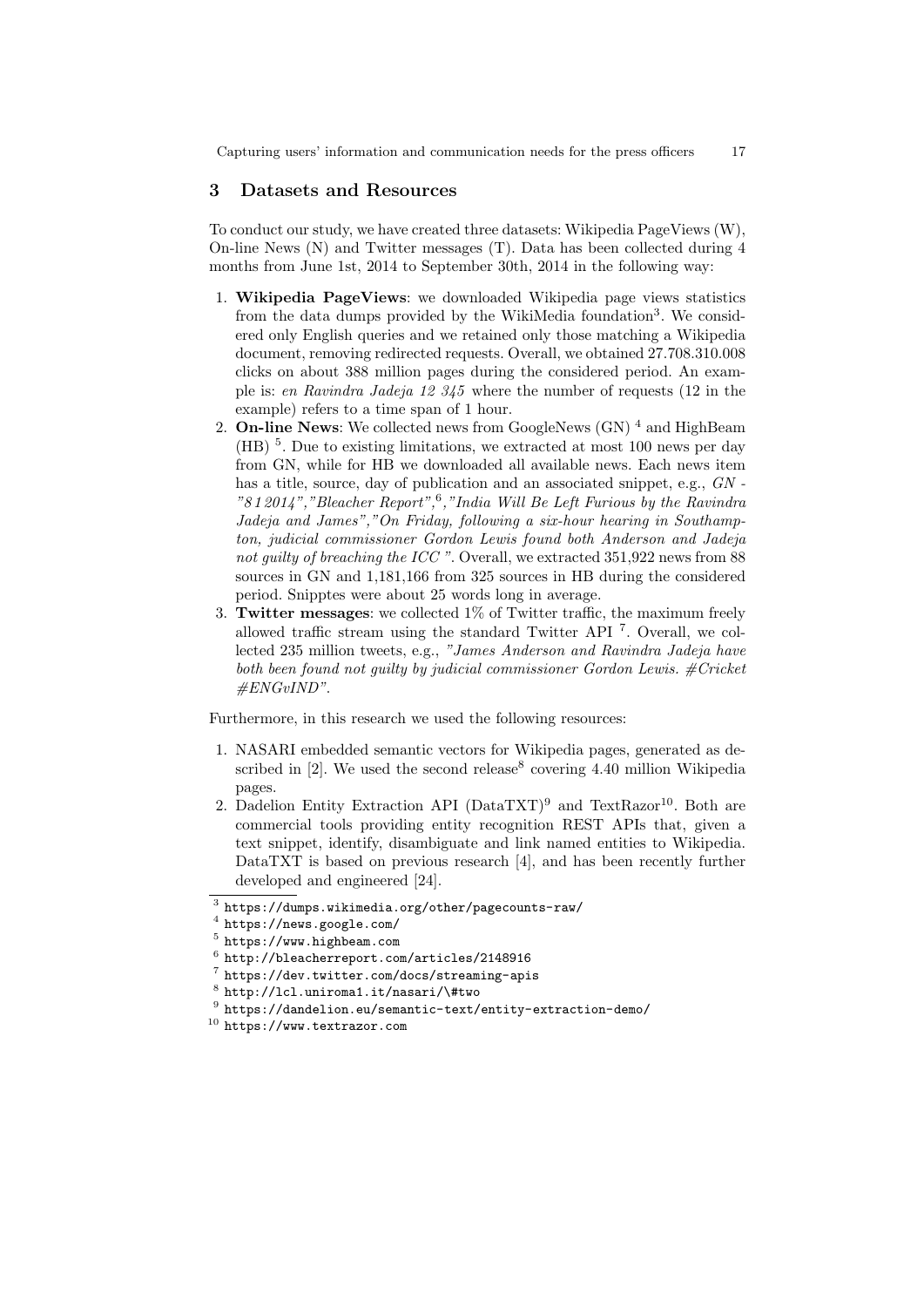Capturing users' information and communication needs for the press officers 17

### 3 Datasets and Resources

To conduct our study, we have created three datasets: Wikipedia PageViews (W), On-line News (N) and Twitter messages (T). Data has been collected during 4 months from June 1st, 2014 to September 30th, 2014 in the following way:

- 1. Wikipedia PageViews: we downloaded Wikipedia page views statistics from the data dumps provided by the WikiMedia foundation<sup>3</sup>. We considered only English queries and we retained only those matching a Wikipedia document, removing redirected requests. Overall, we obtained 27.708.310.008 clicks on about 388 million pages during the considered period. An example is: en Ravindra Jadeja 12 345 where the number of requests (12 in the example) refers to a time span of 1 hour.
- 2. **On-line News:** We collected news from GoogleNews  $(GN)^4$  and HighBeam  $(HB)$ <sup>5</sup>. Due to existing limitations, we extracted at most 100 news per day from GN, while for HB we downloaded all available news. Each news item has a title, source, day of publication and an associated snippet, e.g.,  $GN$ . "8 1 2014","Bleacher Report",<sup>6</sup> ,"India Will Be Left Furious by the Ravindra Jadeja and James","On Friday, following a six-hour hearing in Southampton, judicial commissioner Gordon Lewis found both Anderson and Jadeja not guilty of breaching the ICC ". Overall, we extracted 351,922 news from 88 sources in GN and 1,181,166 from 325 sources in HB during the considered period. Snipptes were about 25 words long in average.
- 3. Twitter messages: we collected 1% of Twitter traffic, the maximum freely allowed traffic stream using the standard Twitter API <sup>7</sup> . Overall, we collected 235 million tweets, e.g., "James Anderson and Ravindra Jadeja have both been found not quilty by judicial commissioner Gordon Lewis.  $\#Cricket$ #ENGvIND".

Furthermore, in this research we used the following resources:

- 1. NASARI embedded semantic vectors for Wikipedia pages, generated as described in  $[2]$ . We used the second release<sup>8</sup> covering 4.40 million Wikipedia pages.
- 2. Dadelion Entity Extraction API ( $Data TXT$ )<sup>9</sup> and  $TextRazar<sup>10</sup>$ . Both are commercial tools providing entity recognition REST APIs that, given a text snippet, identify, disambiguate and link named entities to Wikipedia. DataTXT is based on previous research [4], and has been recently further developed and engineered [24].

 $^3$  https://dumps.wikimedia.org/other/pagecounts-raw/

 $^4$  https://news.google.com/

<sup>5</sup> https://www.highbeam.com

 $^6$  http://bleacherreport.com/articles/2148916

<sup>7</sup> https://dev.twitter.com/docs/streaming-apis

 $^8$  http://lcl.uniroma1.it/nasari/\#two

 $^9$  https://dandelion.eu/semantic-text/entity-extraction-demo/

<sup>10</sup> https://www.textrazor.com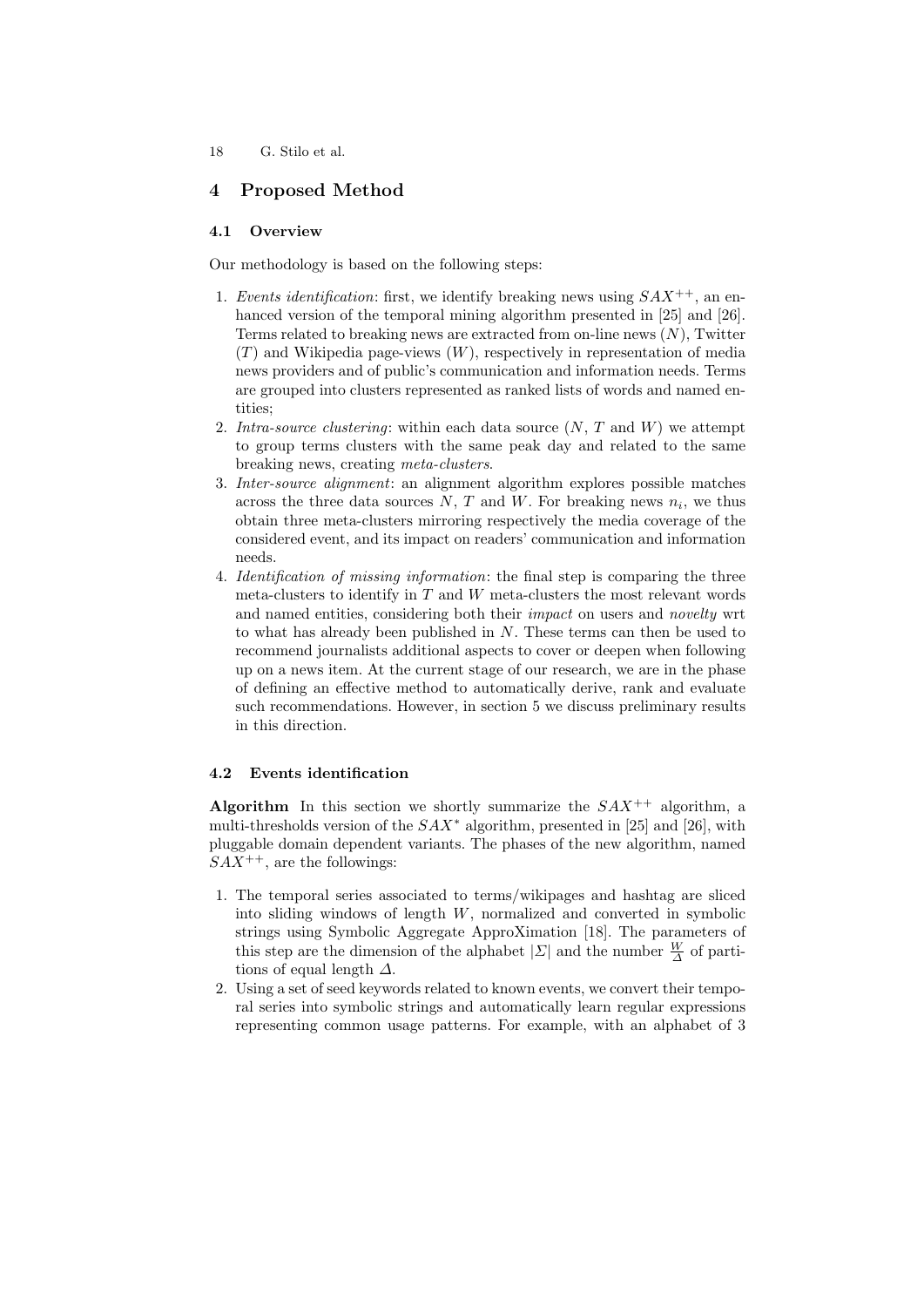## 4 Proposed Method

## 4.1 Overview

Our methodology is based on the following steps:

- 1. Events identification: first, we identify breaking news using  $SAX^{++}$ , an enhanced version of the temporal mining algorithm presented in [25] and [26]. Terms related to breaking news are extracted from on-line news  $(N)$ . Twitter  $(T)$  and Wikipedia page-views  $(W)$ , respectively in representation of media news providers and of public's communication and information needs. Terms are grouped into clusters represented as ranked lists of words and named entities;
- 2. Intra-source clustering: within each data source  $(N, T, T)$  and  $W$ ) we attempt to group terms clusters with the same peak day and related to the same breaking news, creating meta-clusters.
- 3. Inter-source alignment: an alignment algorithm explores possible matches across the three data sources  $N$ ,  $T$  and  $W$ . For breaking news  $n_i$ , we thus obtain three meta-clusters mirroring respectively the media coverage of the considered event, and its impact on readers' communication and information needs.
- 4. Identification of missing information: the final step is comparing the three meta-clusters to identify in  $T$  and  $W$  meta-clusters the most relevant words and named entities, considering both their *impact* on users and *novelty* wrt to what has already been published in N. These terms can then be used to recommend journalists additional aspects to cover or deepen when following up on a news item. At the current stage of our research, we are in the phase of defining an effective method to automatically derive, rank and evaluate such recommendations. However, in section 5 we discuss preliminary results in this direction.

## 4.2 Events identification

Algorithm In this section we shortly summarize the  $SAX^{++}$  algorithm, a multi-thresholds version of the  $SAX^*$  algorithm, presented in [25] and [26], with pluggable domain dependent variants. The phases of the new algorithm, named  $SAX^{++}$ , are the followings:

- 1. The temporal series associated to terms/wikipages and hashtag are sliced into sliding windows of length W, normalized and converted in symbolic strings using Symbolic Aggregate ApproXimation [18]. The parameters of this step are the dimension of the alphabet  $|\Sigma|$  and the number  $\frac{W}{\Delta}$  of partitions of equal length  $\Delta$ .
- 2. Using a set of seed keywords related to known events, we convert their temporal series into symbolic strings and automatically learn regular expressions representing common usage patterns. For example, with an alphabet of 3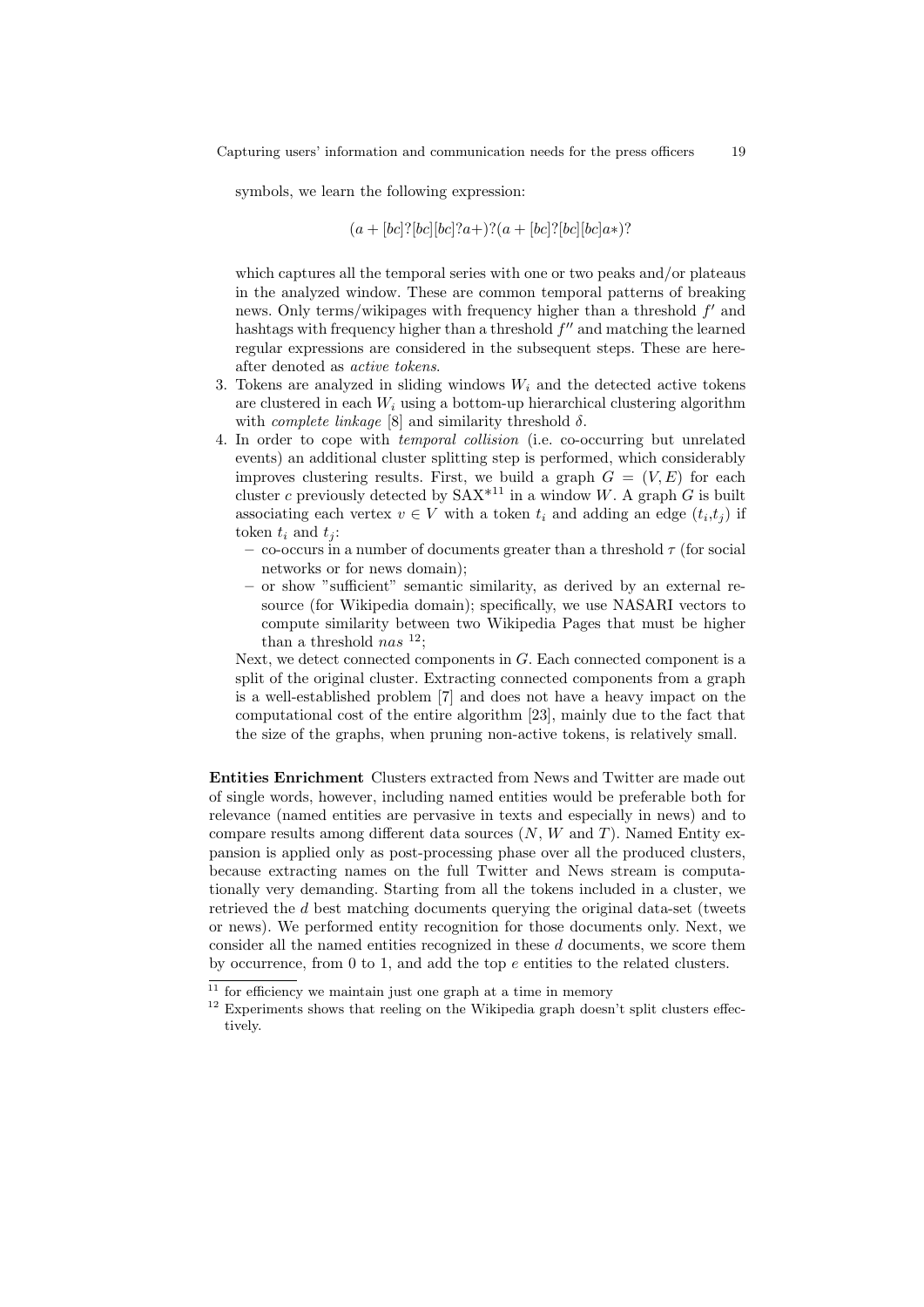symbols, we learn the following expression:

$$
(a + [bc]![bc][bc]!\,a + [bc]![bc][bc]a*)?
$$

which captures all the temporal series with one or two peaks and/or plateaus in the analyzed window. These are common temporal patterns of breaking news. Only terms/wikipages with frequency higher than a threshold  $f'$  and hashtags with frequency higher than a threshold  $f''$  and matching the learned regular expressions are considered in the subsequent steps. These are hereafter denoted as active tokens.

- 3. Tokens are analyzed in sliding windows  $W_i$  and the detected active tokens are clustered in each  $W_i$  using a bottom-up hierarchical clustering algorithm with *complete linkage* [8] and similarity threshold  $\delta$ .
- 4. In order to cope with temporal collision (i.e. co-occurring but unrelated events) an additional cluster splitting step is performed, which considerably improves clustering results. First, we build a graph  $G = (V, E)$  for each cluster c previously detected by  $SAX^{*11}$  in a window W. A graph G is built associating each vertex  $v \in V$  with a token  $t_i$  and adding an edge  $(t_i, t_j)$  if token  $t_i$  and  $t_i$ :
	- co-occurs in a number of documents greater than a threshold  $\tau$  (for social networks or for news domain);
	- or show "sufficient" semantic similarity, as derived by an external resource (for Wikipedia domain); specifically, we use NASARI vectors to compute similarity between two Wikipedia Pages that must be higher than a threshold nas  $^{12}$ ;

Next, we detect connected components in  $G$ . Each connected component is a split of the original cluster. Extracting connected components from a graph is a well-established problem [7] and does not have a heavy impact on the computational cost of the entire algorithm [23], mainly due to the fact that the size of the graphs, when pruning non-active tokens, is relatively small.

Entities Enrichment Clusters extracted from News and Twitter are made out of single words, however, including named entities would be preferable both for relevance (named entities are pervasive in texts and especially in news) and to compare results among different data sources  $(N, W, W)$  and T). Named Entity expansion is applied only as post-processing phase over all the produced clusters, because extracting names on the full Twitter and News stream is computationally very demanding. Starting from all the tokens included in a cluster, we retrieved the d best matching documents querying the original data-set (tweets or news). We performed entity recognition for those documents only. Next, we consider all the named entities recognized in these d documents, we score them by occurrence, from  $0$  to 1, and add the top  $e$  entities to the related clusters.

 $11$  for efficiency we maintain just one graph at a time in memory

 $^{12}$  Experiments shows that reeling on the Wikipedia graph doesn't split clusters effectively.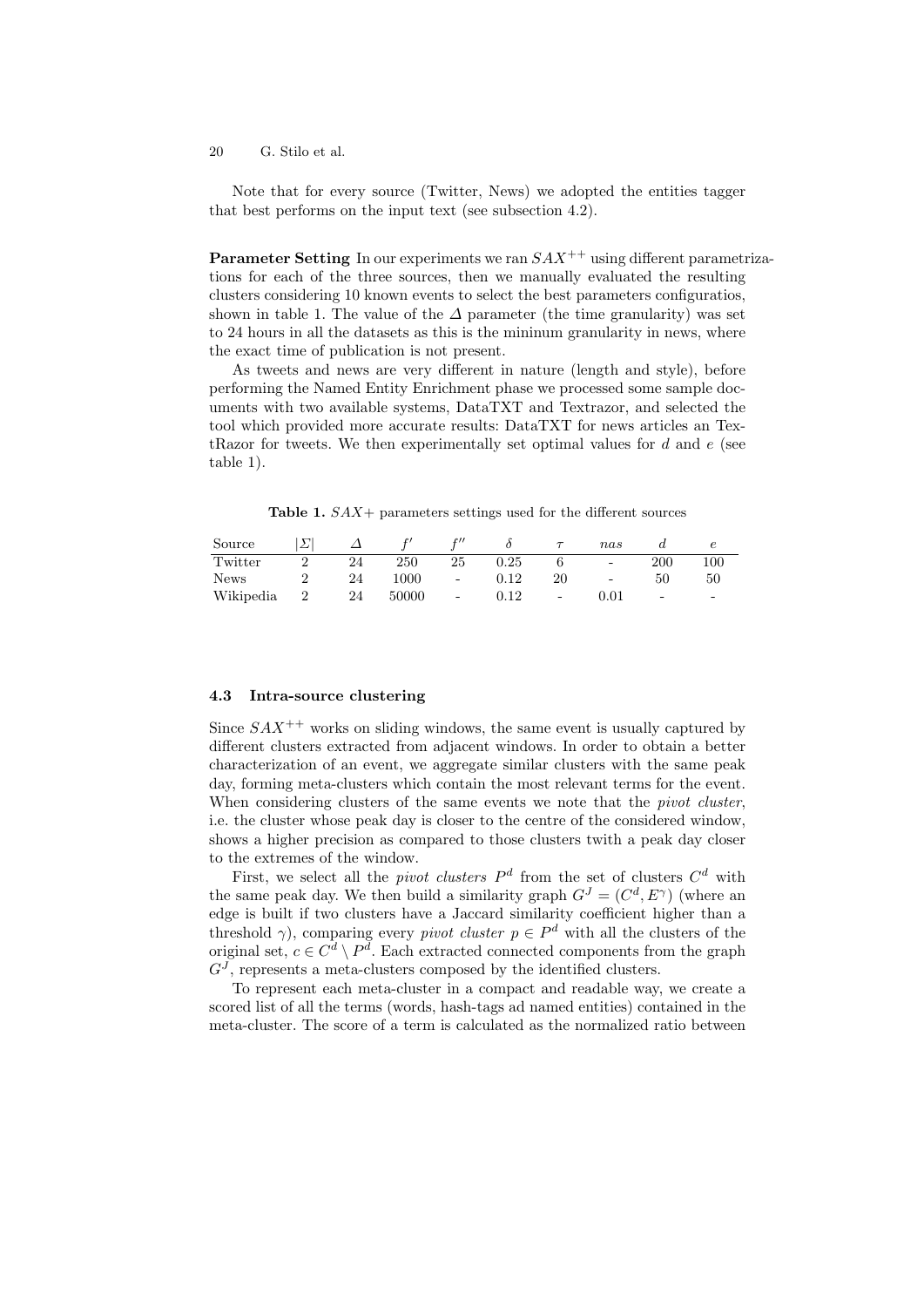Note that for every source (Twitter, News) we adopted the entities tagger that best performs on the input text (see subsection 4.2).

**Parameter Setting** In our experiments we ran  $SAX^{++}$  using different parametrizations for each of the three sources, then we manually evaluated the resulting clusters considering 10 known events to select the best parameters configuratios, shown in table 1. The value of the  $\Delta$  parameter (the time granularity) was set to 24 hours in all the datasets as this is the mininum granularity in news, where the exact time of publication is not present.

As tweets and news are very different in nature (length and style), before performing the Named Entity Enrichment phase we processed some sample documents with two available systems, DataTXT and Textrazor, and selected the tool which provided more accurate results: DataTXT for news articles an TextRazor for tweets. We then experimentally set optimal values for  $d$  and  $e$  (see table 1).

**Table 1.**  $SAX$  + parameters settings used for the different sources

| Source      |                |    |       | r''    |            |          | nas                      |                   |                          |
|-------------|----------------|----|-------|--------|------------|----------|--------------------------|-------------------|--------------------------|
| Twitter     |                | 24 | 250   | 25     | $\rm 0.25$ |          | $\overline{\phantom{a}}$ | 200               | 100                      |
| <b>News</b> |                | 24 | 1000  | $\sim$ | $0.12\,$   | 20       | $\overline{\phantom{a}}$ | 50                | 50                       |
| Wikipedia   | $\overline{2}$ | 24 | 50000 | $\sim$ | $0.12\,$   | $\equiv$ | $\rm 0.01$               | $\qquad \qquad -$ | $\overline{\phantom{0}}$ |

## 4.3 Intra-source clustering

Since  $SAX^{++}$  works on sliding windows, the same event is usually captured by different clusters extracted from adjacent windows. In order to obtain a better characterization of an event, we aggregate similar clusters with the same peak day, forming meta-clusters which contain the most relevant terms for the event. When considering clusters of the same events we note that the *pivot cluster*, i.e. the cluster whose peak day is closer to the centre of the considered window, shows a higher precision as compared to those clusters twith a peak day closer to the extremes of the window.

First, we select all the *pivot clusters*  $P^d$  from the set of clusters  $C^d$  with the same peak day. We then build a similarity graph  $G<sup>J</sup> = (C<sup>d</sup>, E<sup>\gamma</sup>)$  (where an edge is built if two clusters have a Jaccard similarity coefficient higher than a threshold  $\gamma$ ), comparing every *pivot cluster*  $p \in P^d$  with all the clusters of the original set,  $c \in \mathbb{C}^d \setminus \mathbb{P}^d$ . Each extracted connected components from the graph  $G<sup>J</sup>$ , represents a meta-clusters composed by the identified clusters.

To represent each meta-cluster in a compact and readable way, we create a scored list of all the terms (words, hash-tags ad named entities) contained in the meta-cluster. The score of a term is calculated as the normalized ratio between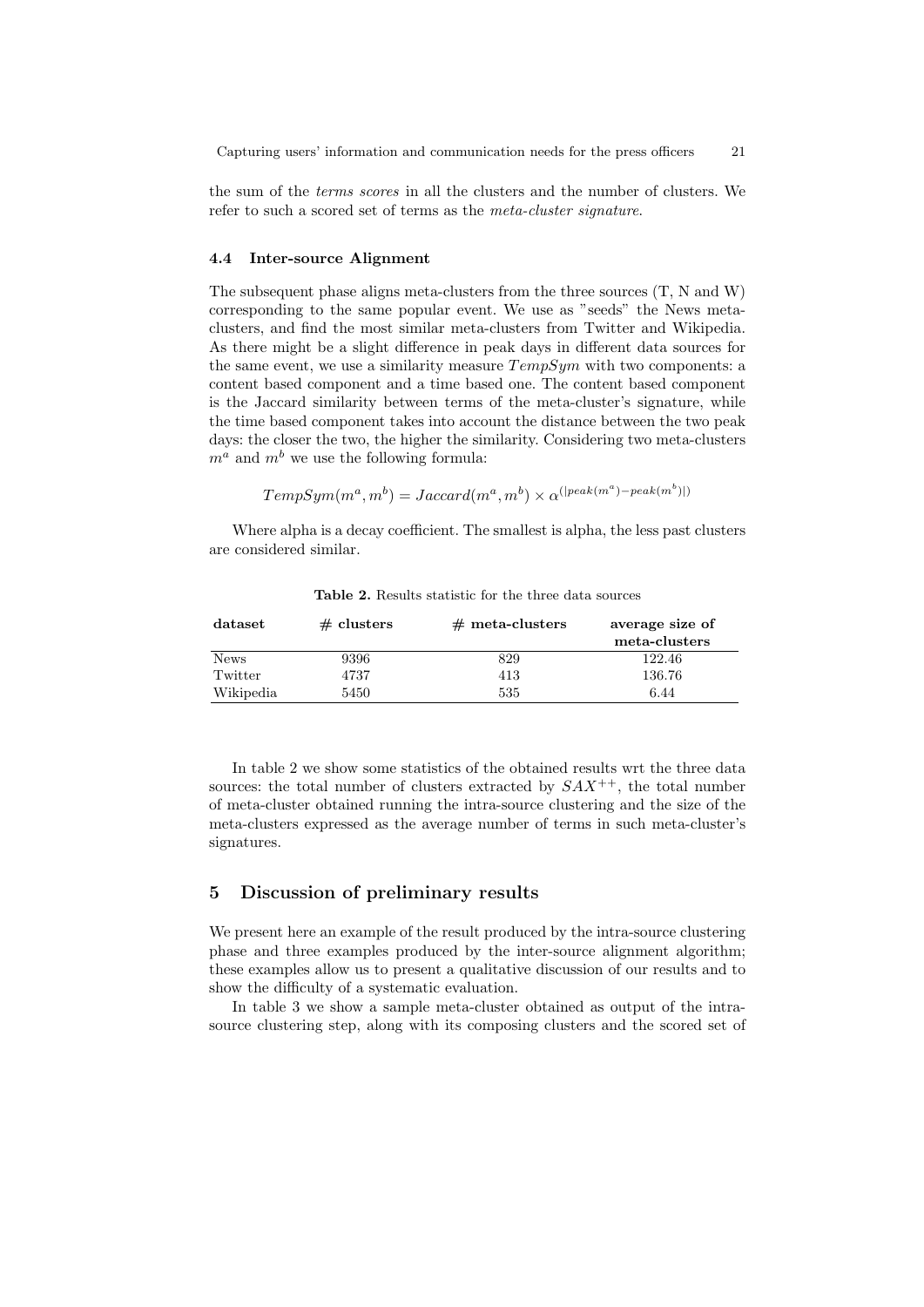the sum of the terms scores in all the clusters and the number of clusters. We refer to such a scored set of terms as the meta-cluster signature.

### 4.4 Inter-source Alignment

The subsequent phase aligns meta-clusters from the three sources (T, N and W) corresponding to the same popular event. We use as "seeds" the News metaclusters, and find the most similar meta-clusters from Twitter and Wikipedia. As there might be a slight difference in peak days in different data sources for the same event, we use a similarity measure  $TempSym$  with two components: a content based component and a time based one. The content based component is the Jaccard similarity between terms of the meta-cluster's signature, while the time based component takes into account the distance between the two peak days: the closer the two, the higher the similarity. Considering two meta-clusters  $m^a$  and  $m^b$  we use the following formula:

$$
TempSym(m^a, m^b) = Jaccard(m^a, m^b) \times \alpha^{(|peak(m^a) - peak(m^b)|)}
$$

Where alpha is a decay coefficient. The smallest is alpha, the less past clusters are considered similar.

| dataset     | $\#$ clusters | $#$ meta-clusters | average size of |
|-------------|---------------|-------------------|-----------------|
|             |               |                   | meta-clusters   |
| <b>News</b> | 9396          | 829               | 122.46          |
| Twitter     | 4737          | 413               | 136.76          |
| Wikipedia   | 5450          | 535               | 6.44            |

Table 2. Results statistic for the three data sources

In table 2 we show some statistics of the obtained results wrt the three data sources: the total number of clusters extracted by  $SAX^{++}$ , the total number of meta-cluster obtained running the intra-source clustering and the size of the meta-clusters expressed as the average number of terms in such meta-cluster's signatures.

## 5 Discussion of preliminary results

We present here an example of the result produced by the intra-source clustering phase and three examples produced by the inter-source alignment algorithm; these examples allow us to present a qualitative discussion of our results and to show the difficulty of a systematic evaluation.

In table 3 we show a sample meta-cluster obtained as output of the intrasource clustering step, along with its composing clusters and the scored set of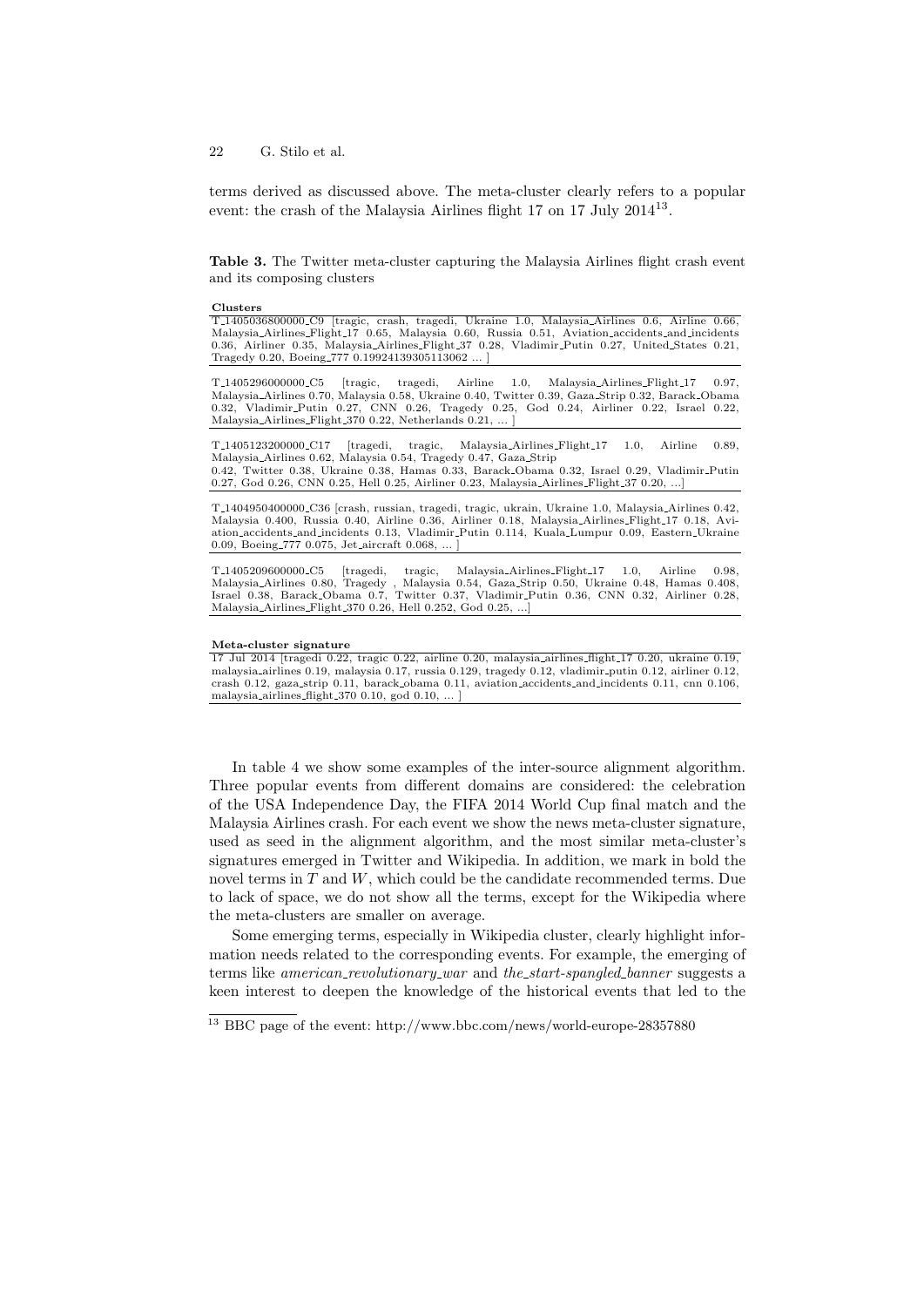terms derived as discussed above. The meta-cluster clearly refers to a popular event: the crash of the Malaysia Airlines flight 17 on 17 July 2014<sup>13</sup>.

Table 3. The Twitter meta-cluster capturing the Malaysia Airlines flight crash event and its composing clusters

#### Clusters

T 1405036800000 C9 [tragic, crash, tragedi, Ukraine 1.0, Malaysia Airlines 0.6, Airline 0.66, Malaysia Airlines Flight 17 0.65, Malaysia 0.60, Russia 0.51, Aviation accidents and incidents 0.36, Airliner 0.35, Malaysia Airlines Flight 37 0.28, Vladimir Putin 0.27, United States 0.21, Tragedy 0.20, Boeing 777 0.19924139305113062 ... ]

T 1405296000000 C5 [tragic, tragedi, Airline 1.0, Malaysia Airlines Flight 17 0.97, Malaysia Airlines 0.70, Malaysia 0.58, Ukraine 0.40, Twitter 0.39, Gaza Strip 0.32, Barack Obama 0.32, Vladimir Putin 0.27, CNN 0.26, Tragedy 0.25, God 0.24, Airliner 0.22, Israel 0.22, Malaysia Airlines Flight 370 0.22, Netherlands 0.21, ... ]

T 1405123200000 C17 [tragedi, tragic, Malaysia Airlines Flight 17 1.0, Airline 0.89, Malaysia Airlines 0.62, Malaysia 0.54, Tragedy 0.47, Gaza Strip 0.42, Twitter 0.38, Ukraine 0.38, Hamas 0.33, Barack Obama 0.32, Israel 0.29, Vladimir Putin 0.27, God 0.26, CNN 0.25, Hell 0.25, Airliner 0.23, Malaysia Airlines Flight 37 0.20, ...]

T 1404950400000 C36 [crash, russian, tragedi, tragic, ukrain, Ukraine 1.0, Malaysia Airlines 0.42, Malaysia 0.400, Russia 0.40, Airline 0.36, Airliner 0.18, Malaysia Airlines Flight 17 0.18, Aviation accidents and incidents 0.13, Vladimir Putin 0.114, Kuala Lumpur 0.09, Eastern Ukraine 0.09, Boeing 777 0.075, Jet aircraft 0.068.

T\_1405209600000\_C5 [tragedi, tragic, Malaysia\_Airlines\_Flight\_17 1.0, Airline 0.98,<br>Malaysia\_Airlines 0.80, Tragedy , Malaysia 0.54, Gaza\_Strip 0.50, Ukraine 0.48, Hamas 0.408,<br>Israel 0.38, Barack\_Obama 0.7, Twitter 0.37, Malaysia Airlines Flight 370 0.26, Hell 0.252, God 0.25, ...]

#### Meta-cluster signature

17 Jul 2014 [tragedi 0.22, tragic 0.22, airline 0.20, malaysia airlines flight 17 0.20, ukraine 0.19, malaysia airlines 0.19, malaysia 0.17, russia 0.129, tragedy 0.12, vladimir putin 0.12, airliner 0.12, crash 0.12, gaza strip 0.11, barack obama 0.11, aviation accidents and incidents 0.11, cnn 0.106, malaysia airlines flight  $370$  0.10, god 0.10,

In table 4 we show some examples of the inter-source alignment algorithm. Three popular events from different domains are considered: the celebration of the USA Independence Day, the FIFA 2014 World Cup final match and the Malaysia Airlines crash. For each event we show the news meta-cluster signature, used as seed in the alignment algorithm, and the most similar meta-cluster's signatures emerged in Twitter and Wikipedia. In addition, we mark in bold the novel terms in  $T$  and  $W$ , which could be the candidate recommended terms. Due to lack of space, we do not show all the terms, except for the Wikipedia where the meta-clusters are smaller on average.

Some emerging terms, especially in Wikipedia cluster, clearly highlight information needs related to the corresponding events. For example, the emerging of terms like *american\_revolutionary\_war* and *the\_start-spangled\_banner* suggests a keen interest to deepen the knowledge of the historical events that led to the

 $^{13}$  BBC page of the event: http://www.bbc.com/news/world-europe-28357880  $\,$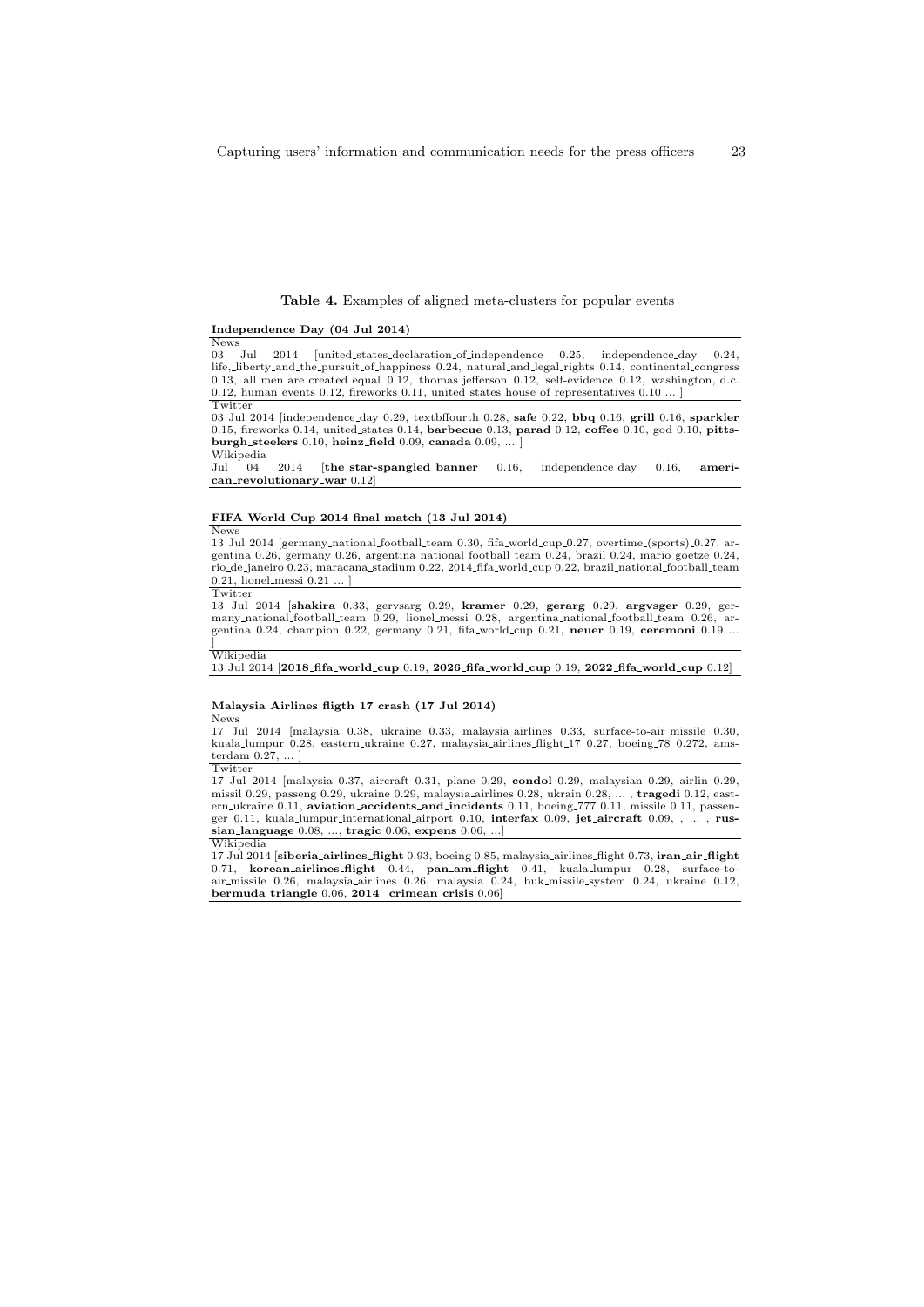### Table 4. Examples of aligned meta-clusters for popular events

### Independence Day (04 Jul 2014)

 $\frac{\text{News}}{03 - \text{Iul}}$ 2014 [united\_states\_declaration\_of\_independence 0.25, independence\_day 0.24, life, liberty and the pursuit of happiness 0.24, natural and legal rights 0.14, continental congress 0.13, all men are created equal 0.12, thomas jefferson 0.12, self-evidence 0.12, washington, d.c. 0.12, human events 0.12, fireworks 0.11, united states house of representatives 0.10 ... ] **Twitter** 

03 Jul 2014 [independence day 0.29, textbffourth 0.28, safe 0.22, bbq 0.16, grill 0.16, sparkler 0.15, fireworks 0.14, united states 0.14, barbecue 0.13, parad 0.12, coffee 0.10, god 0.10, pittsburgh\_steelers  $0.10$ , heinz\_field  $0.09$ , canada  $0.09$ ,

# Wikipedia<br>Jul 04

2014 [the\_star-spangled\_banner 0.16, independence\_day 0.16, ameri- $\textbf{can\_revolutionary\_war}$  0.12]

#### FIFA World Cup 2014 final match (13 Jul 2014) News

13 Jul 2014 [germany national football team 0.30, fifa world cup 0.27, overtime (sports) 0.27, ar-gentina 0.26, germany 0.26, argentina national football team 0.24, brazil 0.24, mario goetze 0.24, rio de janeiro 0.23, maracana stadium 0.22, 2014 fifa world cup 0.22, brazil national football team  $0.21$ , lionel\_messi  $0.21$  ... ] Twitter

13 Jul 2014 [shakira 0.33, gervsarg 0.29, kramer 0.29, gerarg 0.29, argvsger 0.29, ger-<br>many national football team 0.29, lionel messi 0.28, argentina national football team 0.26, argentina 0.24, champion 0.22, germany 0.21, fifa\_world\_cup 0.21, neuer 0.19, ceremoni 0.19 ... ] Wikipedia

13 Jul 2014 [2018 fifa world cup 0.19, 2026 fifa world cup 0.19, 2022 fifa world cup 0.12]

#### Malaysia Airlines fligth 17 crash (17 Jul 2014) News

17 Jul 2014 [malaysia 0.38, ukraine 0.33, malaysia airlines 0.33, surface-to-air missile 0.30, kuala lumpur 0.28, eastern ukraine 0.27, malaysia airlines flight 17 0.27, boeing 78 0.272, amsterdam 0.27, ... ] **Twitter** 

17 Jul 2014 [malaysia 0.37, aircraft 0.31, plane 0.29, condol 0.29, malaysian 0.29, airlin 0.29, missil 0.29, passeng 0.29, ukraine 0.29, malaysia airlines 0.28, ukrain 0.28, ... , tragedi 0.12, eastern ukraine 0.11, aviation accidents and incidents 0.11, boeing 777 0.11, missile 0.11, passenger 0.11, kuala lumpur international airport 0.10, interfax 0.09, jet aircraft 0.09, , ... , russian language 0.08, ..., tragic 0.06, expens 0.06, ...] Wikipedia

17 Jul 2014 [**siberia\_airlines\_flight** 0.93, boeing 0.85, malaysia\_airlines\_flight 0.73, **iran\_air\_flight**<br>0.71, **korean\_airlines\_flight** 0.44, **pan\_am\_flight** 0.41, kuala\_lumpur 0.28, surface-to-<br>air\_missile 0.26, malaysi bermuda\_triangle  $0.06$ , 2014\_ crimean\_crisis  $0.06$ ]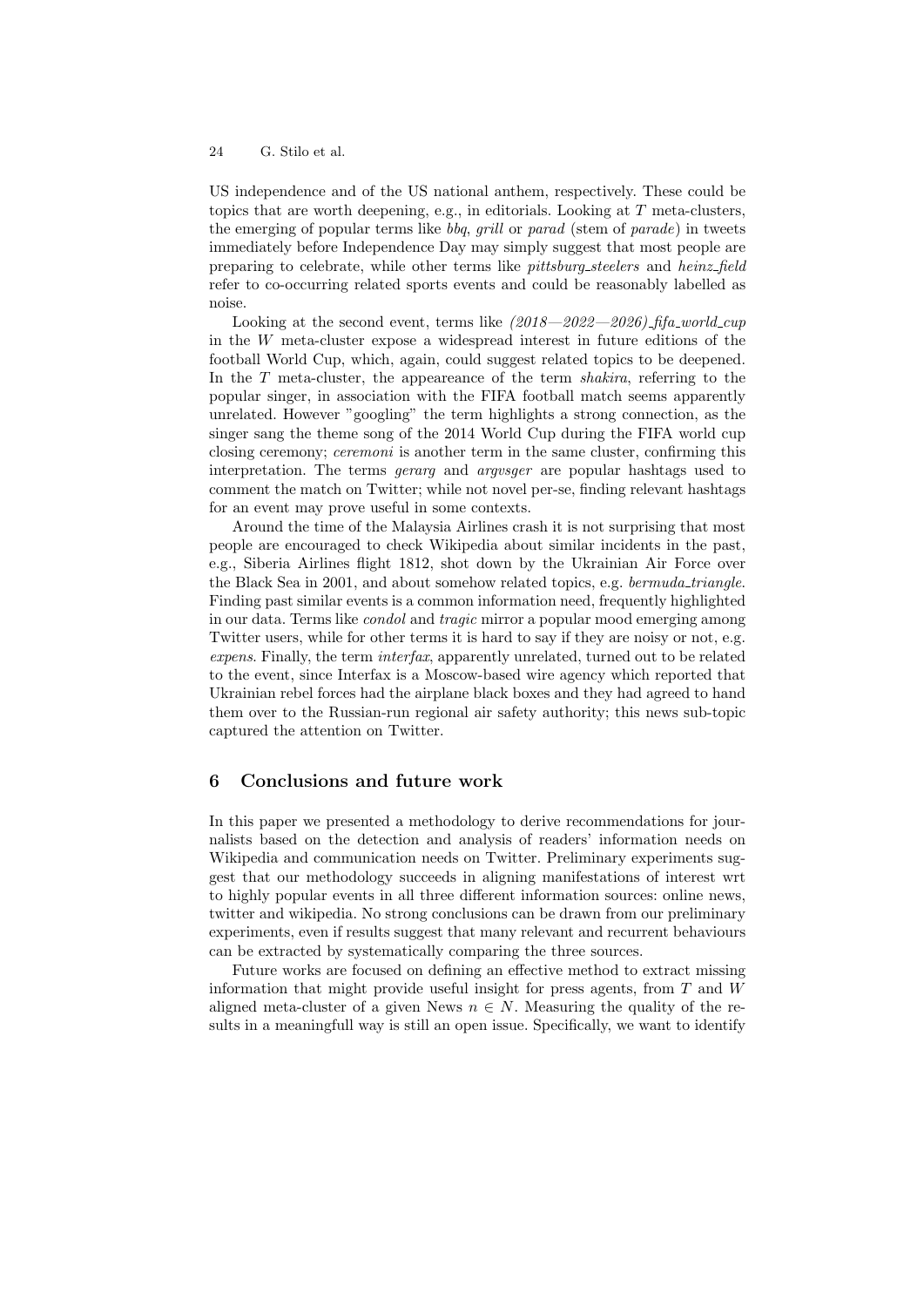US independence and of the US national anthem, respectively. These could be topics that are worth deepening, e.g., in editorials. Looking at T meta-clusters, the emerging of popular terms like bbq, grill or parad (stem of parade) in tweets immediately before Independence Day may simply suggest that most people are preparing to celebrate, while other terms like pittsburg steelers and heinz field refer to co-occurring related sports events and could be reasonably labelled as noise.

Looking at the second event, terms like  $(2018 - 2022 - 2026)$  fifa world cup in the W meta-cluster expose a widespread interest in future editions of the football World Cup, which, again, could suggest related topics to be deepened. In the T meta-cluster, the appeareance of the term *shakira*, referring to the popular singer, in association with the FIFA football match seems apparently unrelated. However "googling" the term highlights a strong connection, as the singer sang the theme song of the 2014 World Cup during the FIFA world cup closing ceremony; *ceremoni* is another term in the same cluster, confirming this interpretation. The terms gerarg and argvsger are popular hashtags used to comment the match on Twitter; while not novel per-se, finding relevant hashtags for an event may prove useful in some contexts.

Around the time of the Malaysia Airlines crash it is not surprising that most people are encouraged to check Wikipedia about similar incidents in the past, e.g., Siberia Airlines flight 1812, shot down by the Ukrainian Air Force over the Black Sea in 2001, and about somehow related topics, e.g. bermuda triangle. Finding past similar events is a common information need, frequently highlighted in our data. Terms like *condol* and *tragic* mirror a popular mood emerging among Twitter users, while for other terms it is hard to say if they are noisy or not, e.g. expens. Finally, the term interfax, apparently unrelated, turned out to be related to the event, since Interfax is a Moscow-based wire agency which reported that Ukrainian rebel forces had the airplane black boxes and they had agreed to hand them over to the Russian-run regional air safety authority; this news sub-topic captured the attention on Twitter.

## 6 Conclusions and future work

In this paper we presented a methodology to derive recommendations for journalists based on the detection and analysis of readers' information needs on Wikipedia and communication needs on Twitter. Preliminary experiments suggest that our methodology succeeds in aligning manifestations of interest wrt to highly popular events in all three different information sources: online news, twitter and wikipedia. No strong conclusions can be drawn from our preliminary experiments, even if results suggest that many relevant and recurrent behaviours can be extracted by systematically comparing the three sources.

Future works are focused on defining an effective method to extract missing information that might provide useful insight for press agents, from T and W aligned meta-cluster of a given News  $n \in N$ . Measuring the quality of the results in a meaningfull way is still an open issue. Specifically, we want to identify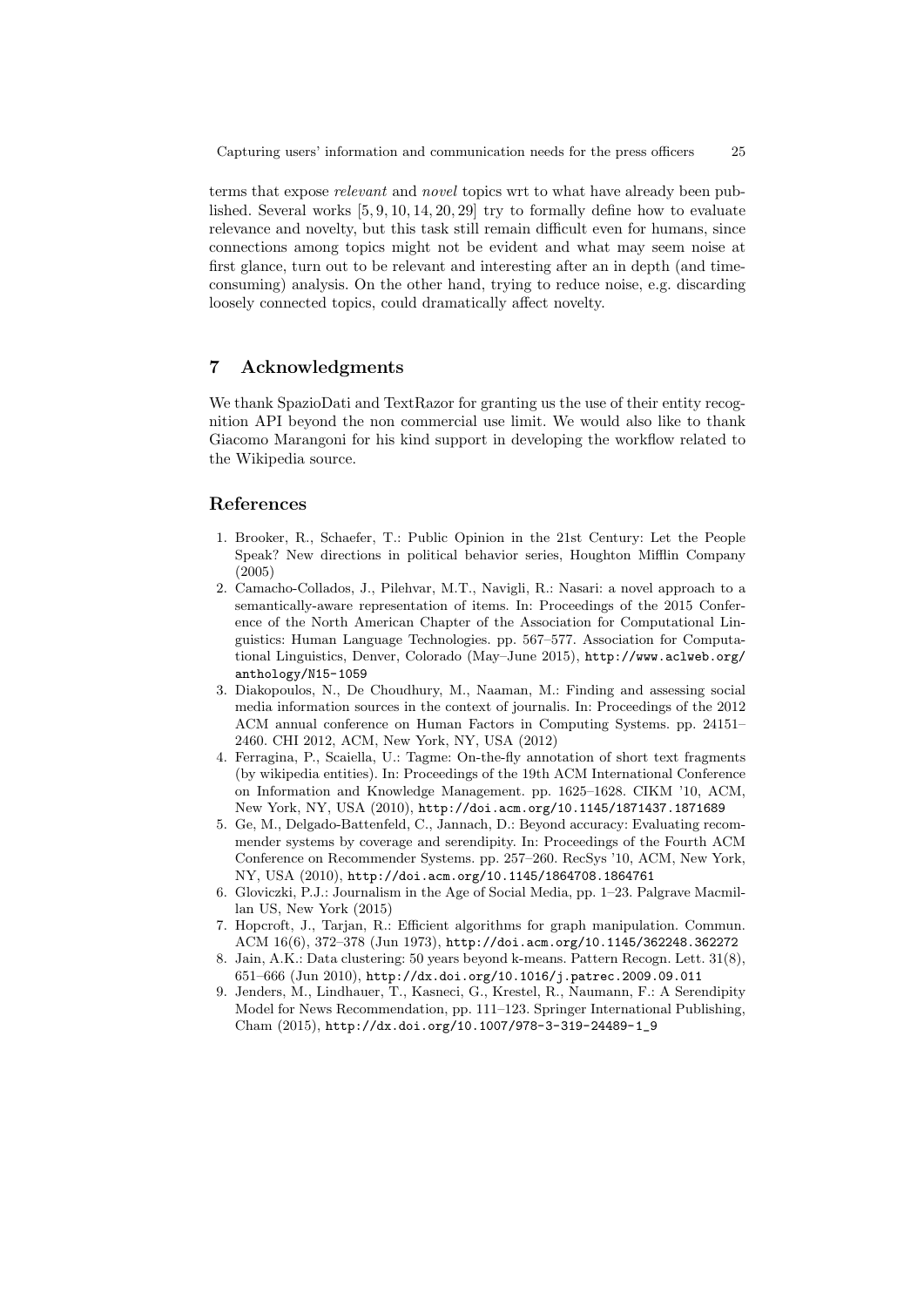terms that expose relevant and novel topics wrt to what have already been published. Several works  $[5, 9, 10, 14, 20, 29]$  try to formally define how to evaluate relevance and novelty, but this task still remain difficult even for humans, since connections among topics might not be evident and what may seem noise at first glance, turn out to be relevant and interesting after an in depth (and timeconsuming) analysis. On the other hand, trying to reduce noise, e.g. discarding loosely connected topics, could dramatically affect novelty.

## 7 Acknowledgments

We thank SpazioDati and TextRazor for granting us the use of their entity recognition API beyond the non commercial use limit. We would also like to thank Giacomo Marangoni for his kind support in developing the workflow related to the Wikipedia source.

## References

- 1. Brooker, R., Schaefer, T.: Public Opinion in the 21st Century: Let the People Speak? New directions in political behavior series, Houghton Mifflin Company (2005)
- 2. Camacho-Collados, J., Pilehvar, M.T., Navigli, R.: Nasari: a novel approach to a semantically-aware representation of items. In: Proceedings of the 2015 Conference of the North American Chapter of the Association for Computational Linguistics: Human Language Technologies. pp. 567–577. Association for Computational Linguistics, Denver, Colorado (May–June 2015), http://www.aclweb.org/ anthology/N15-1059
- 3. Diakopoulos, N., De Choudhury, M., Naaman, M.: Finding and assessing social media information sources in the context of journalis. In: Proceedings of the 2012 ACM annual conference on Human Factors in Computing Systems. pp. 24151– 2460. CHI 2012, ACM, New York, NY, USA (2012)
- 4. Ferragina, P., Scaiella, U.: Tagme: On-the-fly annotation of short text fragments (by wikipedia entities). In: Proceedings of the 19th ACM International Conference on Information and Knowledge Management. pp. 1625–1628. CIKM '10, ACM, New York, NY, USA (2010), http://doi.acm.org/10.1145/1871437.1871689
- 5. Ge, M., Delgado-Battenfeld, C., Jannach, D.: Beyond accuracy: Evaluating recommender systems by coverage and serendipity. In: Proceedings of the Fourth ACM Conference on Recommender Systems. pp. 257–260. RecSys '10, ACM, New York, NY, USA (2010), http://doi.acm.org/10.1145/1864708.1864761
- 6. Gloviczki, P.J.: Journalism in the Age of Social Media, pp. 1–23. Palgrave Macmillan US, New York (2015)
- 7. Hopcroft, J., Tarjan, R.: Efficient algorithms for graph manipulation. Commun. ACM 16(6), 372–378 (Jun 1973), http://doi.acm.org/10.1145/362248.362272
- 8. Jain, A.K.: Data clustering: 50 years beyond k-means. Pattern Recogn. Lett. 31(8), 651–666 (Jun 2010), http://dx.doi.org/10.1016/j.patrec.2009.09.011
- 9. Jenders, M., Lindhauer, T., Kasneci, G., Krestel, R., Naumann, F.: A Serendipity Model for News Recommendation, pp. 111–123. Springer International Publishing, Cham (2015), http://dx.doi.org/10.1007/978-3-319-24489-1\_9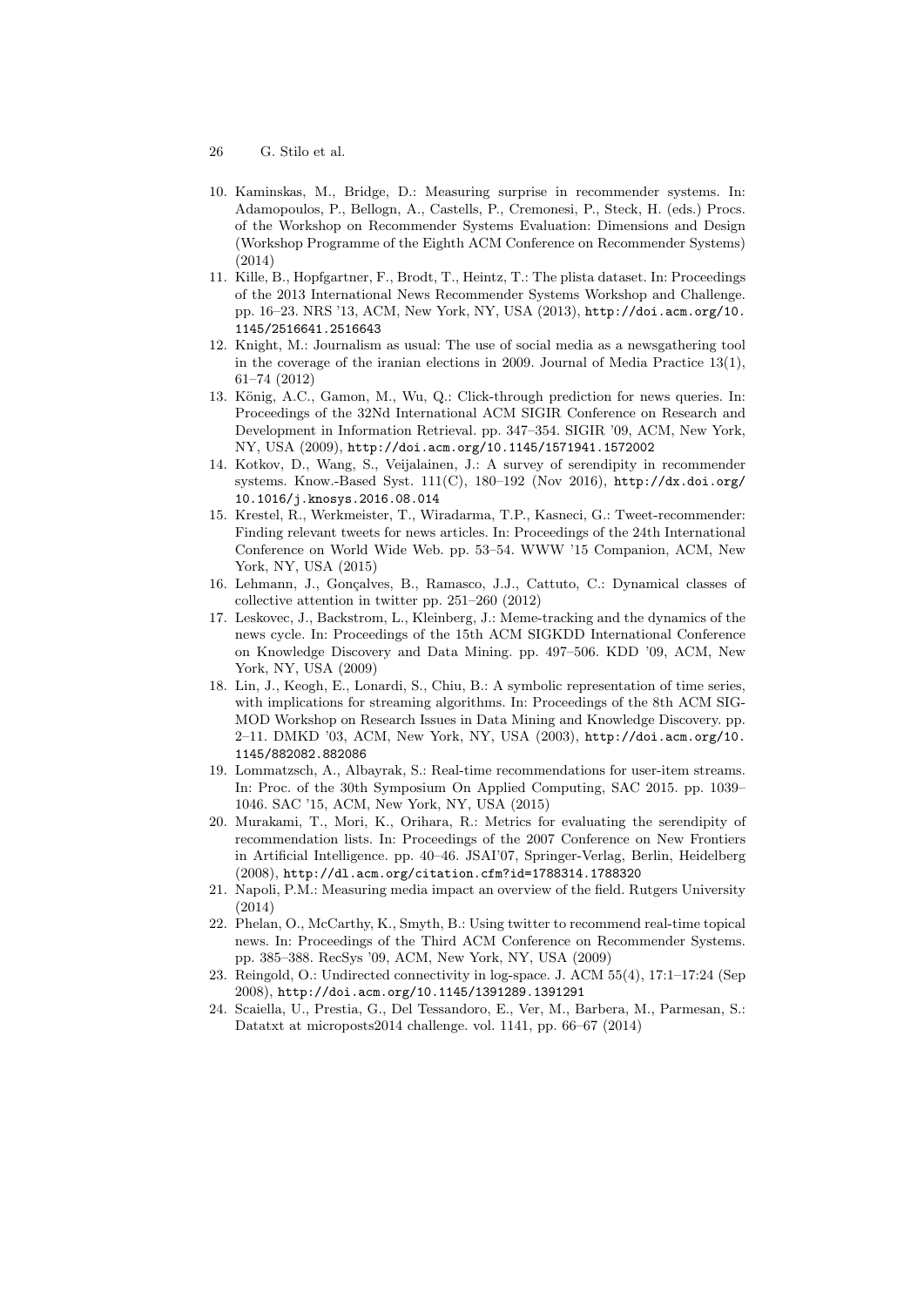- 26 G. Stilo et al.
- 10. Kaminskas, M., Bridge, D.: Measuring surprise in recommender systems. In: Adamopoulos, P., Bellogn, A., Castells, P., Cremonesi, P., Steck, H. (eds.) Procs. of the Workshop on Recommender Systems Evaluation: Dimensions and Design (Workshop Programme of the Eighth ACM Conference on Recommender Systems) (2014)
- 11. Kille, B., Hopfgartner, F., Brodt, T., Heintz, T.: The plista dataset. In: Proceedings of the 2013 International News Recommender Systems Workshop and Challenge. pp. 16–23. NRS '13, ACM, New York, NY, USA (2013), http://doi.acm.org/10. 1145/2516641.2516643
- 12. Knight, M.: Journalism as usual: The use of social media as a newsgathering tool in the coverage of the iranian elections in 2009. Journal of Media Practice  $13(1)$ , 61–74 (2012)
- 13. König, A.C., Gamon, M., Wu, Q.: Click-through prediction for news queries. In: Proceedings of the 32Nd International ACM SIGIR Conference on Research and Development in Information Retrieval. pp. 347–354. SIGIR '09, ACM, New York, NY, USA (2009), http://doi.acm.org/10.1145/1571941.1572002
- 14. Kotkov, D., Wang, S., Veijalainen, J.: A survey of serendipity in recommender systems. Know.-Based Syst. 111(C), 180–192 (Nov 2016), http://dx.doi.org/ 10.1016/j.knosys.2016.08.014
- 15. Krestel, R., Werkmeister, T., Wiradarma, T.P., Kasneci, G.: Tweet-recommender: Finding relevant tweets for news articles. In: Proceedings of the 24th International Conference on World Wide Web. pp. 53–54. WWW '15 Companion, ACM, New York, NY, USA (2015)
- 16. Lehmann, J., Gonçalves, B., Ramasco, J.J., Cattuto, C.: Dynamical classes of collective attention in twitter pp. 251–260 (2012)
- 17. Leskovec, J., Backstrom, L., Kleinberg, J.: Meme-tracking and the dynamics of the news cycle. In: Proceedings of the 15th ACM SIGKDD International Conference on Knowledge Discovery and Data Mining. pp. 497–506. KDD '09, ACM, New York, NY, USA (2009)
- 18. Lin, J., Keogh, E., Lonardi, S., Chiu, B.: A symbolic representation of time series, with implications for streaming algorithms. In: Proceedings of the 8th ACM SIG-MOD Workshop on Research Issues in Data Mining and Knowledge Discovery. pp. 2–11. DMKD '03, ACM, New York, NY, USA (2003), http://doi.acm.org/10. 1145/882082.882086
- 19. Lommatzsch, A., Albayrak, S.: Real-time recommendations for user-item streams. In: Proc. of the 30th Symposium On Applied Computing, SAC 2015. pp. 1039– 1046. SAC '15, ACM, New York, NY, USA (2015)
- 20. Murakami, T., Mori, K., Orihara, R.: Metrics for evaluating the serendipity of recommendation lists. In: Proceedings of the 2007 Conference on New Frontiers in Artificial Intelligence. pp. 40–46. JSAI'07, Springer-Verlag, Berlin, Heidelberg (2008), http://dl.acm.org/citation.cfm?id=1788314.1788320
- 21. Napoli, P.M.: Measuring media impact an overview of the field. Rutgers University (2014)
- 22. Phelan, O., McCarthy, K., Smyth, B.: Using twitter to recommend real-time topical news. In: Proceedings of the Third ACM Conference on Recommender Systems. pp. 385–388. RecSys '09, ACM, New York, NY, USA (2009)
- 23. Reingold, O.: Undirected connectivity in log-space. J. ACM 55(4), 17:1–17:24 (Sep 2008), http://doi.acm.org/10.1145/1391289.1391291
- 24. Scaiella, U., Prestia, G., Del Tessandoro, E., Ver, M., Barbera, M., Parmesan, S.: Datatxt at microposts2014 challenge. vol. 1141, pp. 66–67 (2014)